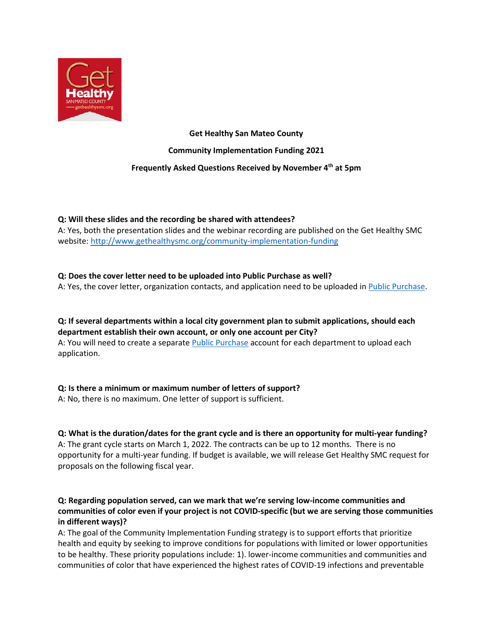

**Get Healthy San Mateo County Community Implementation Funding 2021 Frequently Asked Questions Received by November 4th at 5pm**

## **Q: Will these slides and the recording be shared with attendees?**

A: Yes, both the presentation slides and the webinar recording are published on the Get Healthy SMC website[: http://www.gethealthysmc.org/community-implementation-funding](http://www.gethealthysmc.org/community-implementation-funding)

## **Q: Does the cover letter need to be uploaded into Public Purchase as well?**

A: Yes, the cover letter, organization contacts, and application need to be uploaded i[n Public Purchase.](https://publicpurchase.com/gems/browse/home)

**Q: If several departments within a local city government plan to submit applications, should each department establish their own account, or only one account per City?** A: You will need to create a separate [Public Purchase](https://publicpurchase.com/gems/browse/home) account for each department to upload each application.

## **Q: Is there a minimum or maximum number of letters of support?**

A: No, there is no maximum. One letter of support is sufficient.

# **Q: What is the duration/dates for the grant cycle and is there an opportunity for multi-year funding?**

A: The grant cycle starts on March 1, 2022. The contracts can be up to 12 months. There is no opportunity for a multi-year funding. If budget is available, we will release Get Healthy SMC request for proposals on the following fiscal year.

# **Q: Regarding population served, can we mark that we're serving low-income communities and communities of color even if your project is not COVID-specific (but we are serving those communities in different ways)?**

A: The goal of the Community Implementation Funding strategy is to support efforts that prioritize health and equity by seeking to improve conditions for populations with limited or lower opportunities to be healthy. These priority populations include: 1). lower-income communities and communities and communities of color that have experienced the highest rates of COVID-19 infections and preventable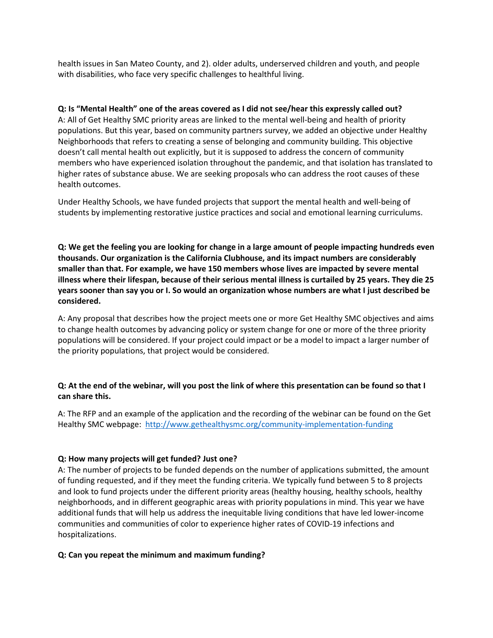health issues in San Mateo County, and 2). older adults, underserved children and youth, and people with disabilities, who face very specific challenges to healthful living.

#### **Q: Is "Mental Health" one of the areas covered as I did not see/hear this expressly called out?**

A: All of Get Healthy SMC priority areas are linked to the mental well-being and health of priority populations. But this year, based on community partners survey, we added an objective under Healthy Neighborhoods that refers to creating a sense of belonging and community building. This objective doesn't call mental health out explicitly, but it is supposed to address the concern of community members who have experienced isolation throughout the pandemic, and that isolation has translated to higher rates of substance abuse. We are seeking proposals who can address the root causes of these health outcomes.

Under Healthy Schools, we have funded projects that support the mental health and well-being of students by implementing restorative justice practices and social and emotional learning curriculums.

**Q: We get the feeling you are looking for change in a large amount of people impacting hundreds even thousands. Our organization is the California Clubhouse, and its impact numbers are considerably smaller than that. For example, we have 150 members whose lives are impacted by severe mental illness where their lifespan, because of their serious mental illness is curtailed by 25 years. They die 25 years sooner than say you or I. So would an organization whose numbers are what I just described be considered.**

A: Any proposal that describes how the project meets one or more Get Healthy SMC objectives and aims to change health outcomes by advancing policy or system change for one or more of the three priority populations will be considered. If your project could impact or be a model to impact a larger number of the priority populations, that project would be considered.

#### **Q: At the end of the webinar, will you post the link of where this presentation can be found so that I can share this.**

A: The RFP and an example of the application and the recording of the webinar can be found on the Get Healthy SMC webpage:<http://www.gethealthysmc.org/community-implementation-funding>

#### **Q: How many projects will get funded? Just one?**

A: The number of projects to be funded depends on the number of applications submitted, the amount of funding requested, and if they meet the funding criteria. We typically fund between 5 to 8 projects and look to fund projects under the different priority areas (healthy housing, healthy schools, healthy neighborhoods, and in different geographic areas with priority populations in mind. This year we have additional funds that will help us address the inequitable living conditions that have led lower-income communities and communities of color to experience higher rates of COVID-19 infections and hospitalizations.

#### **Q: Can you repeat the minimum and maximum funding?**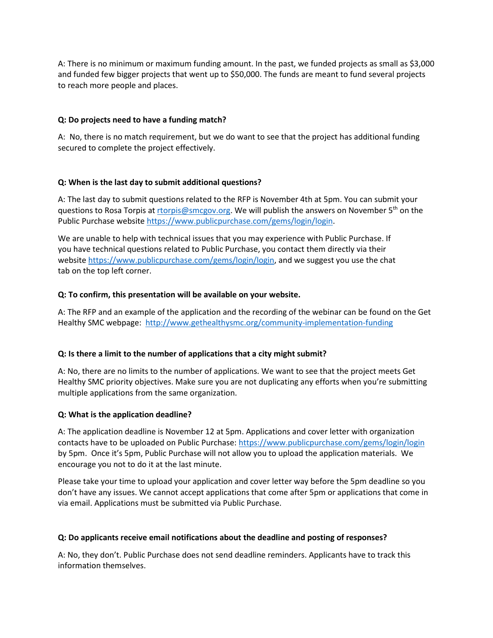A: There is no minimum or maximum funding amount. In the past, we funded projects as small as \$3,000 and funded few bigger projects that went up to \$50,000. The funds are meant to fund several projects to reach more people and places.

#### **Q: Do projects need to have a funding match?**

A: No, there is no match requirement, but we do want to see that the project has additional funding secured to complete the project effectively.

#### **Q: When is the last day to submit additional questions?**

A: The last day to submit questions related to the RFP is November 4th at 5pm. You can submit your questions to Rosa Torpis at [rtorpis@smcgov.org.](mailto:rtorpis@smcgov.org) We will publish the answers on November 5<sup>th</sup> on the Public Purchase website [https://www.publicpurchase.com/gems/login/login.](https://www.publicpurchase.com/gems/login/login)

We are unable to help with technical issues that you may experience with Public Purchase. If you have technical questions related to Public Purchase, you contact them directly via their websit[e https://www.publicpurchase.com/gems/login/login,](https://www.publicpurchase.com/gems/login/login) and we suggest you use the chat tab on the top left corner.

#### **Q: To confirm, this presentation will be available on your website.**

A: The RFP and an example of the application and the recording of the webinar can be found on the Get Healthy SMC webpage:<http://www.gethealthysmc.org/community-implementation-funding>

## **Q: Is there a limit to the number of applications that a city might submit?**

A: No, there are no limits to the number of applications. We want to see that the project meets Get Healthy SMC priority objectives. Make sure you are not duplicating any efforts when you're submitting multiple applications from the same organization.

#### **Q: What is the application deadline?**

A: The application deadline is November 12 at 5pm. Applications and cover letter with organization contacts have to be uploaded on Public Purchase:<https://www.publicpurchase.com/gems/login/login> by 5pm. Once it's 5pm, Public Purchase will not allow you to upload the application materials. We encourage you not to do it at the last minute.

Please take your time to upload your application and cover letter way before the 5pm deadline so you don't have any issues. We cannot accept applications that come after 5pm or applications that come in via email. Applications must be submitted via Public Purchase.

#### **Q: Do applicants receive email notifications about the deadline and posting of responses?**

A: No, they don't. Public Purchase does not send deadline reminders. Applicants have to track this information themselves.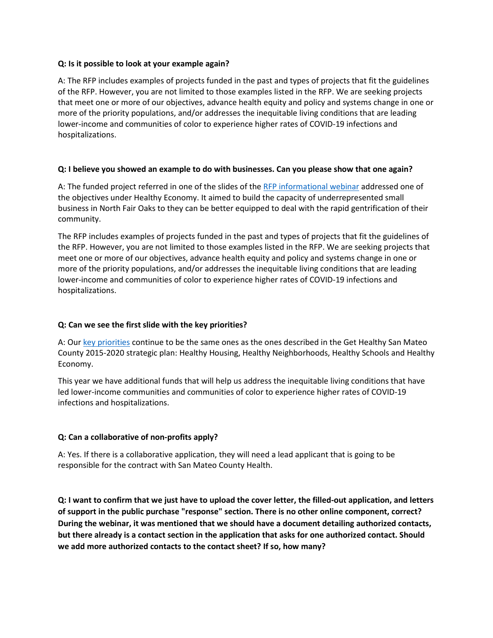#### **Q: Is it possible to look at your example again?**

A: The RFP includes examples of projects funded in the past and types of projects that fit the guidelines of the RFP. However, you are not limited to those examples listed in the RFP. We are seeking projects that meet one or more of our objectives, advance health equity and policy and systems change in one or more of the priority populations, and/or addresses the inequitable living conditions that are leading lower-income and communities of color to experience higher rates of COVID-19 infections and hospitalizations.

#### **Q: I believe you showed an example to do with businesses. Can you please show that one again?**

A: The funded project referred in one of the slides of the [RFP informational webinar](http://www.gethealthysmc.org/community-implementation-funding) addressed one of the objectives under Healthy Economy. It aimed to build the capacity of underrepresented small business in North Fair Oaks to they can be better equipped to deal with the rapid gentrification of their community.

The RFP includes examples of projects funded in the past and types of projects that fit the guidelines of the RFP. However, you are not limited to those examples listed in the RFP. We are seeking projects that meet one or more of our objectives, advance health equity and policy and systems change in one or more of the priority populations, and/or addresses the inequitable living conditions that are leading lower-income and communities of color to experience higher rates of COVID-19 infections and hospitalizations.

#### **Q: Can we see the first slide with the key priorities?**

A: Our [key priorities](http://www.gethealthysmc.org/community-implementation-funding) continue to be the same ones as the ones described in the Get Healthy San Mateo County 2015-2020 strategic plan: Healthy Housing, Healthy Neighborhoods, Healthy Schools and Healthy Economy.

This year we have additional funds that will help us address the inequitable living conditions that have led lower-income communities and communities of color to experience higher rates of COVID-19 infections and hospitalizations.

#### **Q: Can a collaborative of non-profits apply?**

A: Yes. If there is a collaborative application, they will need a lead applicant that is going to be responsible for the contract with San Mateo County Health.

**Q: I want to confirm that we just have to upload the cover letter, the filled-out application, and letters of support in the public purchase "response" section. There is no other online component, correct? During the webinar, it was mentioned that we should have a document detailing authorized contacts, but there already is a contact section in the application that asks for one authorized contact. Should we add more authorized contacts to the contact sheet? If so, how many?**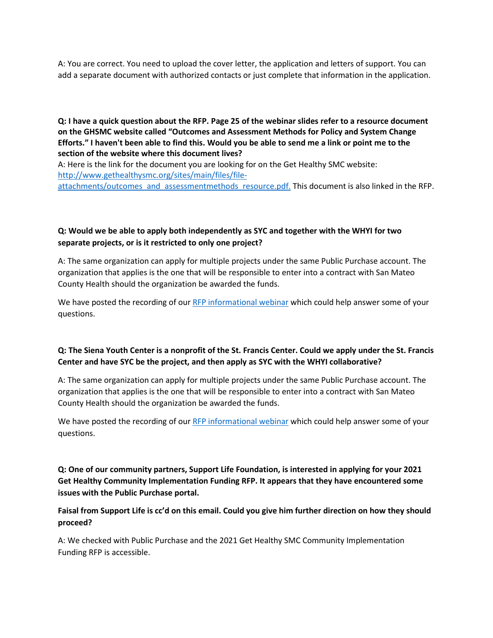A: You are correct. You need to upload the cover letter, the application and letters of support. You can add a separate document with authorized contacts or just complete that information in the application.

**Q: I have a quick question about the RFP. Page 25 of the webinar slides refer to a resource document on the GHSMC website called "Outcomes and Assessment Methods for Policy and System Change Efforts." I haven't been able to find this. Would you be able to send me a link or point me to the section of the website where this document lives?**

A: Here is the link for the document you are looking for on the Get Healthy SMC website: [http://www.gethealthysmc.org/sites/main/files/file-](https://protect-us.mimecast.com/s/edkXCR6KPYcBjBoxtPAP1i)

[attachments/outcomes\\_and\\_assessmentmethods\\_resource.pdf.](https://protect-us.mimecast.com/s/edkXCR6KPYcBjBoxtPAP1i) This document is also linked in the RFP.

# **Q: Would we be able to apply both independently as SYC and together with the WHYI for two separate projects, or is it restricted to only one project?**

A: The same organization can apply for multiple projects under the same Public Purchase account. The organization that applies is the one that will be responsible to enter into a contract with San Mateo County Health should the organization be awarded the funds.

We have posted the recording of our [RFP informational webinar](http://www.gethealthysmc.org/community-implementation-funding) which could help answer some of your questions.

# **Q: The Siena Youth Center is a nonprofit of the St. Francis Center. Could we apply under the St. Francis Center and have SYC be the project, and then apply as SYC with the WHYI collaborative?**

A: The same organization can apply for multiple projects under the same Public Purchase account. The organization that applies is the one that will be responsible to enter into a contract with San Mateo County Health should the organization be awarded the funds.

We have posted the recording of our [RFP informational webinar](http://www.gethealthysmc.org/community-implementation-funding) which could help answer some of your questions.

**Q: One of our community partners, Support Life Foundation, is interested in applying for your 2021 Get Healthy Community Implementation Funding RFP. It appears that they have encountered some issues with the Public Purchase portal.**

## **Faisal from Support Life is cc'd on this email. Could you give him further direction on how they should proceed?**

A: We checked with Public Purchase and the 2021 Get Healthy SMC Community Implementation Funding RFP is accessible.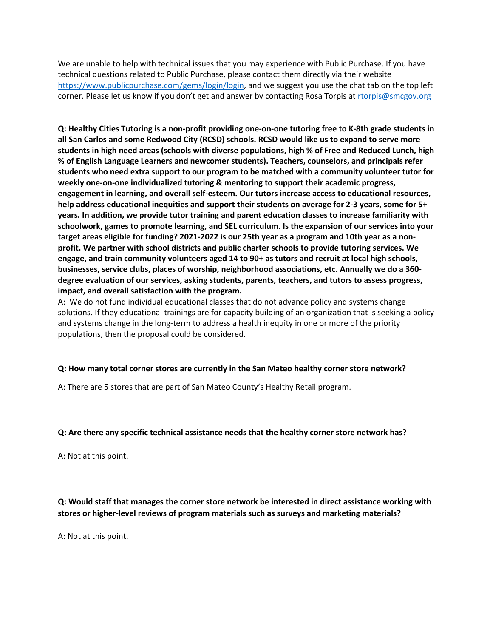We are unable to help with technical issues that you may experience with Public Purchase. If you have technical questions related to Public Purchase, please contact them directly via their website [https://www.publicpurchase.com/gems/login/login,](https://www.publicpurchase.com/gems/login/login) and we suggest you use the chat tab on the top left corner. Please let us know if you don't get and answer by contacting Rosa Torpis at [rtorpis@smcgov.org](mailto:rtorpis@smcgov.org)

**Q: Healthy Cities Tutoring is a non-profit providing one-on-one tutoring free to K-8th grade students in all San Carlos and some Redwood City (RCSD) schools. RCSD would like us to expand to serve more students in high need areas (schools with diverse populations, high % of Free and Reduced Lunch, high % of English Language Learners and newcomer students). Teachers, counselors, and principals refer students who need extra support to our program to be matched with a community volunteer tutor for weekly one-on-one individualized tutoring & mentoring to support their academic progress, engagement in learning, and overall self-esteem. Our tutors increase access to educational resources, help address educational inequities and support their students on average for 2-3 years, some for 5+ years. In addition, we provide tutor training and parent education classes to increase familiarity with schoolwork, games to promote learning, and SEL curriculum. Is the expansion of our services into your target areas eligible for funding? 2021-2022 is our 25th year as a program and 10th year as a nonprofit. We partner with school districts and public charter schools to provide tutoring services. We engage, and train community volunteers aged 14 to 90+ as tutors and recruit at local high schools, businesses, service clubs, places of worship, neighborhood associations, etc. Annually we do a 360 degree evaluation of our services, asking students, parents, teachers, and tutors to assess progress, impact, and overall satisfaction with the program.**

A: We do not fund individual educational classes that do not advance policy and systems change solutions. If they educational trainings are for capacity building of an organization that is seeking a policy and systems change in the long-term to address a health inequity in one or more of the priority populations, then the proposal could be considered.

#### **Q: How many total corner stores are currently in the San Mateo healthy corner store network?**

A: There are 5 stores that are part of San Mateo County's Healthy Retail program.

#### **Q: Are there any specific technical assistance needs that the healthy corner store network has?**

A: Not at this point.

**Q: Would staff that manages the corner store network be interested in direct assistance working with stores or higher-level reviews of program materials such as surveys and marketing materials?**

A: Not at this point.